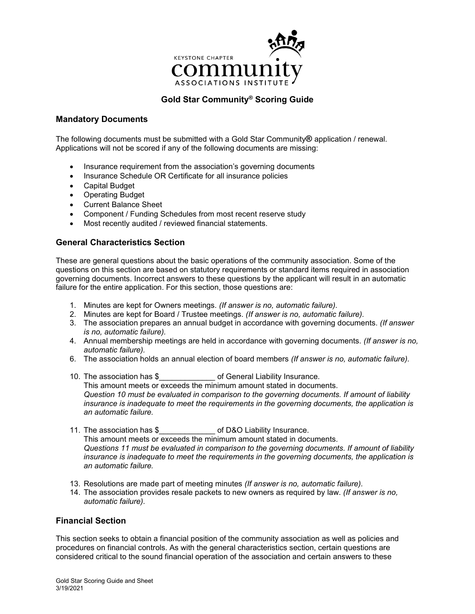

# **Gold Star Community® Scoring Guide**

### **Mandatory Documents**

The following documents must be submitted with a Gold Star Community**®** application / renewal. Applications will not be scored if any of the following documents are missing:

- Insurance requirement from the association's governing documents
- Insurance Schedule OR Certificate for all insurance policies
- Capital Budget
- Operating Budget
- Current Balance Sheet
- Component / Funding Schedules from most recent reserve study
- Most recently audited / reviewed financial statements.

## **General Characteristics Section**

These are general questions about the basic operations of the community association. Some of the questions on this section are based on statutory requirements or standard items required in association governing documents. Incorrect answers to these questions by the applicant will result in an automatic failure for the entire application. For this section, those questions are:

- 1. Minutes are kept for Owners meetings. *(If answer is no, automatic failure).*
- 2. Minutes are kept for Board / Trustee meetings. *(If answer is no, automatic failure).*
- 3. The association prepares an annual budget in accordance with governing documents. *(If answer is no, automatic failure).*
- 4. Annual membership meetings are held in accordance with governing documents. *(If answer is no, automatic failure).*
- 6. The association holds an annual election of board members *(If answer is no, automatic failure).*
- 10. The association has \$\_\_\_\_\_\_\_\_\_\_\_\_\_ of General Liability Insurance. This amount meets or exceeds the minimum amount stated in documents. *Question 10 must be evaluated in comparison to the governing documents. If amount of liability insurance is inadequate to meet the requirements in the governing documents, the application is an automatic failure.*
- 11. The association has \$\_\_\_\_\_\_\_\_\_\_\_\_\_ of D&O Liability Insurance. This amount meets or exceeds the minimum amount stated in documents. *Questions 11 must be evaluated in comparison to the governing documents. If amount of liability insurance is inadequate to meet the requirements in the governing documents, the application is an automatic failure.*
- 13. Resolutions are made part of meeting minutes *(If answer is no, automatic failure).*
- 14. The association provides resale packets to new owners as required by law. *(If answer is no, automatic failure).*

## **Financial Section**

This section seeks to obtain a financial position of the community association as well as policies and procedures on financial controls. As with the general characteristics section, certain questions are considered critical to the sound financial operation of the association and certain answers to these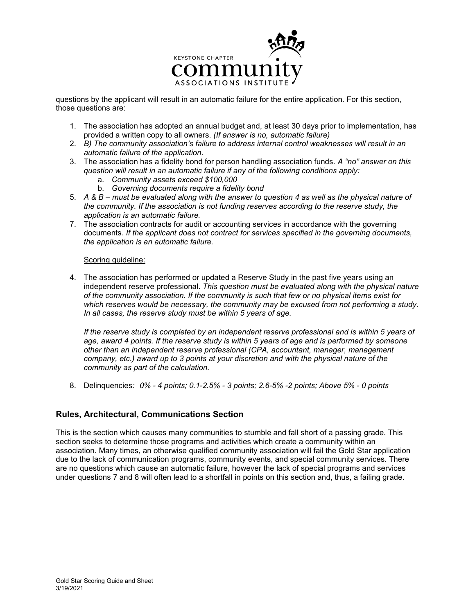

questions by the applicant will result in an automatic failure for the entire application. For this section, those questions are:

- 1. The association has adopted an annual budget and, at least 30 days prior to implementation, has provided a written copy to all owners. *(If answer is no, automatic failure)*
- 2. *B) The community association's failure to address internal control weaknesses will result in an automatic failure of the application.*
- 3. The association has a fidelity bond for person handling association funds. *A "no" answer on this question will result in an automatic failure if any of the following conditions apply:*
	- a. *Community assets exceed \$100,000*
	- b. *Governing documents require a fidelity bond*
- 5. *A & B – must be evaluated along with the answer to question 4 as well as the physical nature of the community. If the association is not funding reserves according to the reserve study, the application is an automatic failure.*
- 7. The association contracts for audit or accounting services in accordance with the governing documents. *If the applicant does not contract for services specified in the governing documents, the application is an automatic failure.*

#### Scoring guideline:

4. The association has performed or updated a Reserve Study in the past five years using an independent reserve professional. *This question must be evaluated along with the physical nature of the community association. If the community is such that few or no physical items exist for which reserves would be necessary, the community may be excused from not performing a study. In all cases, the reserve study must be within 5 years of age.* 

*If the reserve study is completed by an independent reserve professional and is within 5 years of age, award 4 points. If the reserve study is within 5 years of age and is performed by someone other than an independent reserve professional (CPA, accountant, manager, management company, etc.) award up to 3 points at your discretion and with the physical nature of the community as part of the calculation.*

8. Delinquencies*: 0% - 4 points; 0.1-2.5% - 3 points; 2.6-5% -2 points; Above 5% - 0 points*

## **Rules, Architectural, Communications Section**

This is the section which causes many communities to stumble and fall short of a passing grade. This section seeks to determine those programs and activities which create a community within an association. Many times, an otherwise qualified community association will fail the Gold Star application due to the lack of communication programs, community events, and special community services. There are no questions which cause an automatic failure, however the lack of special programs and services under questions 7 and 8 will often lead to a shortfall in points on this section and, thus, a failing grade.